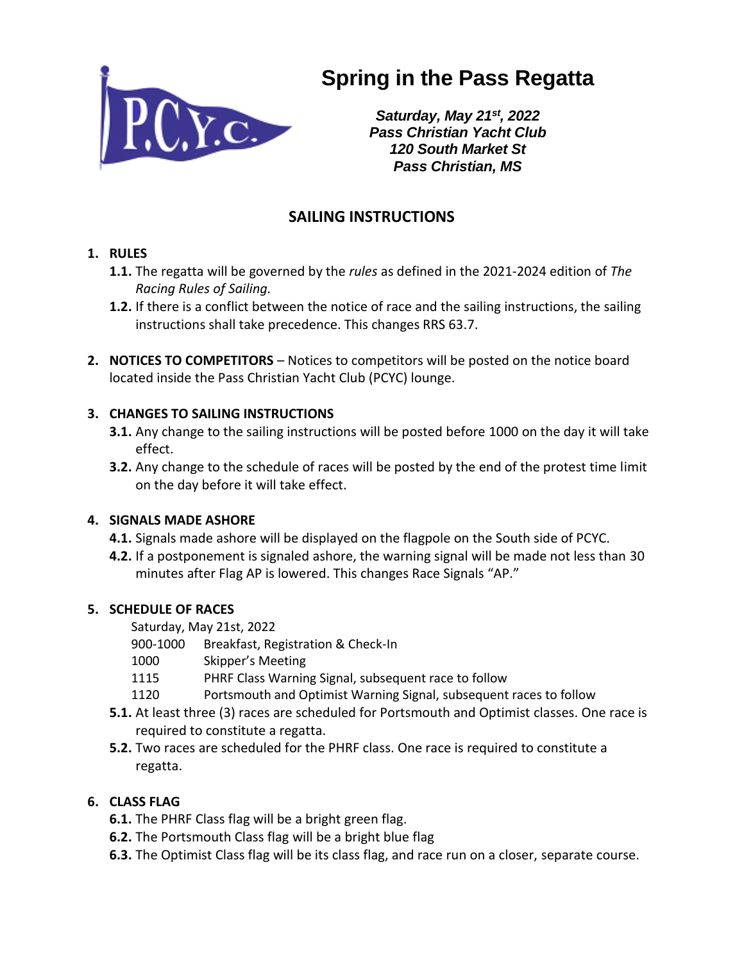

# **Spring in the Pass Regatta**

*Saturday, May 21st, 2022 Pass Christian Yacht Club 120 South Market St Pass Christian, MS*

## **SAILING INSTRUCTIONS**

#### **1. RULES**

- **1.1.** The regatta will be governed by the *rules* as defined in the 2021-2024 edition of *The Racing Rules of Sailing.*
- **1.2.** If there is a conflict between the notice of race and the sailing instructions, the sailing instructions shall take precedence. This changes RRS 63.7.
- **2. NOTICES TO COMPETITORS**  Notices to competitors will be posted on the notice board located inside the Pass Christian Yacht Club (PCYC) lounge.

#### **3. CHANGES TO SAILING INSTRUCTIONS**

- **3.1.** Any change to the sailing instructions will be posted before 1000 on the day it will take effect.
- **3.2.** Any change to the schedule of races will be posted by the end of the protest time limit on the day before it will take effect.

#### **4. SIGNALS MADE ASHORE**

- **4.1.** Signals made ashore will be displayed on the flagpole on the South side of PCYC.
- **4.2.** If a postponement is signaled ashore, the warning signal will be made not less than 30 minutes after Flag AP is lowered. This changes Race Signals "AP."

## **5. SCHEDULE OF RACES**

Saturday, May 21st, 2022

- 900-1000 Breakfast, Registration & Check-In
- 1000 Skipper's Meeting
- 1115 PHRF Class Warning Signal, subsequent race to follow
- 1120 Portsmouth and Optimist Warning Signal, subsequent races to follow
- **5.1.** At least three (3) races are scheduled for Portsmouth and Optimist classes. One race is required to constitute a regatta.
- **5.2.** Two races are scheduled for the PHRF class. One race is required to constitute a regatta.

## **6. CLASS FLAG**

- **6.1.** The PHRF Class flag will be a bright green flag.
- **6.2.** The Portsmouth Class flag will be a bright blue flag
- **6.3.** The Optimist Class flag will be its class flag, and race run on a closer, separate course.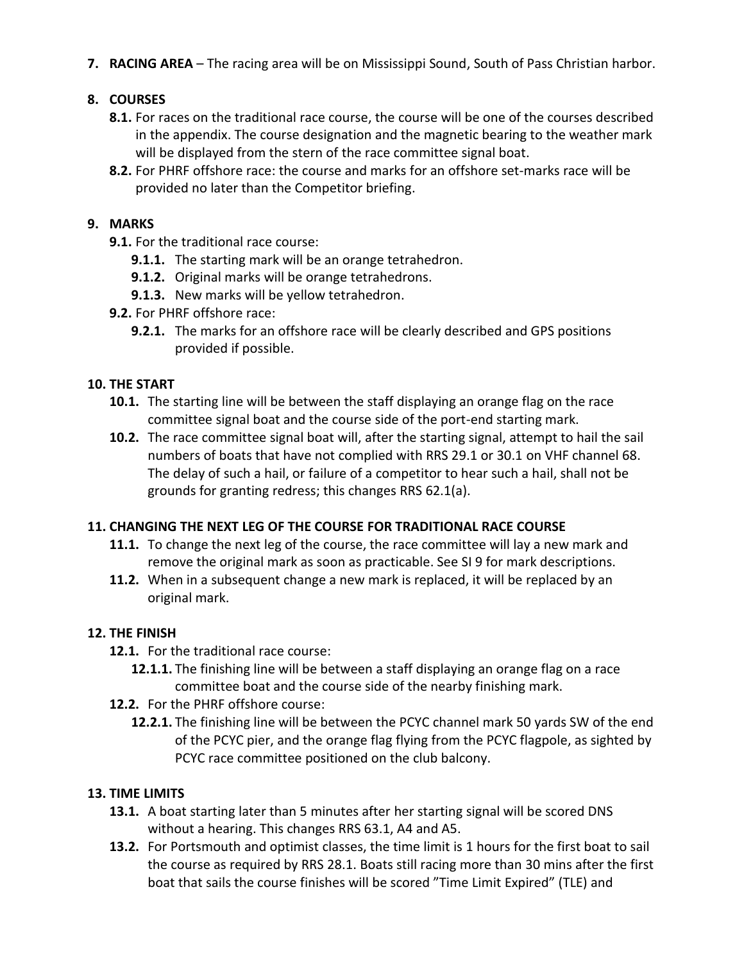**7. RACING AREA** – The racing area will be on Mississippi Sound, South of Pass Christian harbor.

## **8. COURSES**

- **8.1.** For races on the traditional race course, the course will be one of the courses described in the appendix. The course designation and the magnetic bearing to the weather mark will be displayed from the stern of the race committee signal boat.
- **8.2.** For PHRF offshore race: the course and marks for an offshore set-marks race will be provided no later than the Competitor briefing.

#### **9. MARKS**

- **9.1.** For the traditional race course:
	- **9.1.1.** The starting mark will be an orange tetrahedron.
	- **9.1.2.** Original marks will be orange tetrahedrons.
	- **9.1.3.** New marks will be yellow tetrahedron.
- **9.2.** For PHRF offshore race:
	- **9.2.1.** The marks for an offshore race will be clearly described and GPS positions provided if possible.

#### **10. THE START**

- **10.1.** The starting line will be between the staff displaying an orange flag on the race committee signal boat and the course side of the port-end starting mark.
- **10.2.** The race committee signal boat will, after the starting signal, attempt to hail the sail numbers of boats that have not complied with RRS 29.1 or 30.1 on VHF channel 68. The delay of such a hail, or failure of a competitor to hear such a hail, shall not be grounds for granting redress; this changes RRS 62.1(a).

#### **11. CHANGING THE NEXT LEG OF THE COURSE FOR TRADITIONAL RACE COURSE**

- **11.1.** To change the next leg of the course, the race committee will lay a new mark and remove the original mark as soon as practicable. See SI 9 for mark descriptions.
- **11.2.** When in a subsequent change a new mark is replaced, it will be replaced by an original mark.

#### **12. THE FINISH**

- **12.1.** For the traditional race course:
	- **12.1.1.** The finishing line will be between a staff displaying an orange flag on a race committee boat and the course side of the nearby finishing mark.
- **12.2.** For the PHRF offshore course:
	- **12.2.1.** The finishing line will be between the PCYC channel mark 50 yards SW of the end of the PCYC pier, and the orange flag flying from the PCYC flagpole, as sighted by PCYC race committee positioned on the club balcony.

#### **13. TIME LIMITS**

- **13.1.** A boat starting later than 5 minutes after her starting signal will be scored DNS without a hearing. This changes RRS 63.1, A4 and A5.
- **13.2.** For Portsmouth and optimist classes, the time limit is 1 hours for the first boat to sail the course as required by RRS 28.1. Boats still racing more than 30 mins after the first boat that sails the course finishes will be scored "Time Limit Expired" (TLE) and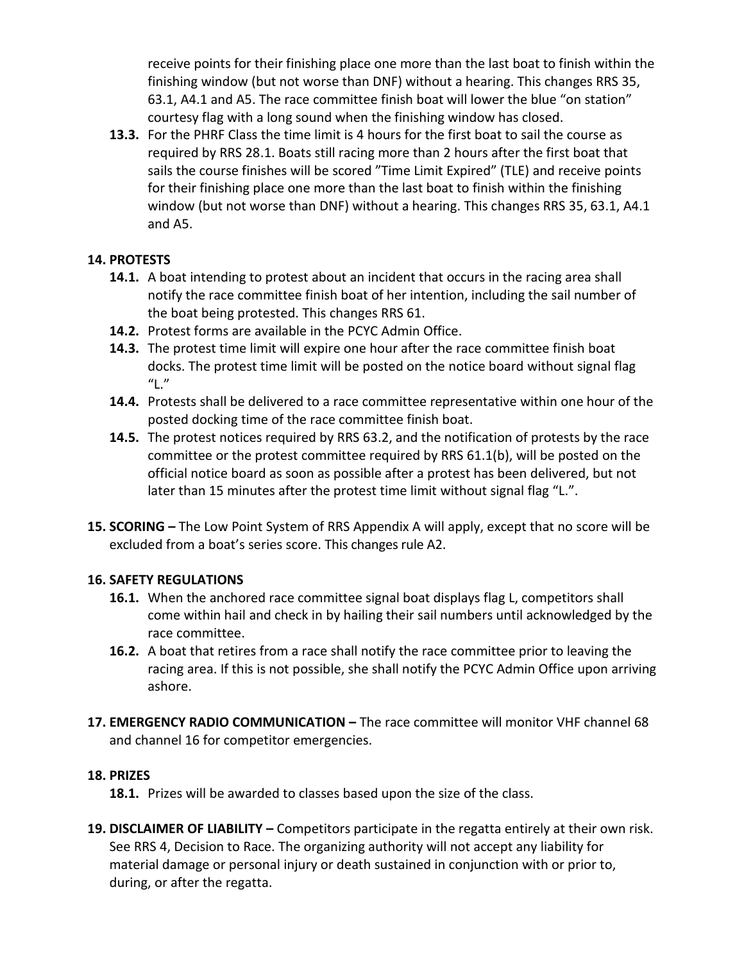receive points for their finishing place one more than the last boat to finish within the finishing window (but not worse than DNF) without a hearing. This changes RRS 35, 63.1, A4.1 and A5. The race committee finish boat will lower the blue "on station" courtesy flag with a long sound when the finishing window has closed.

**13.3.** For the PHRF Class the time limit is 4 hours for the first boat to sail the course as required by RRS 28.1. Boats still racing more than 2 hours after the first boat that sails the course finishes will be scored "Time Limit Expired" (TLE) and receive points for their finishing place one more than the last boat to finish within the finishing window (but not worse than DNF) without a hearing. This changes RRS 35, 63.1, A4.1 and A5.

#### **14. PROTESTS**

- **14.1.** A boat intending to protest about an incident that occurs in the racing area shall notify the race committee finish boat of her intention, including the sail number of the boat being protested. This changes RRS 61.
- **14.2.** Protest forms are available in the PCYC Admin Office.
- **14.3.** The protest time limit will expire one hour after the race committee finish boat docks. The protest time limit will be posted on the notice board without signal flag  $"L."$
- **14.4.** Protests shall be delivered to a race committee representative within one hour of the posted docking time of the race committee finish boat.
- **14.5.** The protest notices required by RRS 63.2, and the notification of protests by the race committee or the protest committee required by RRS 61.1(b), will be posted on the official notice board as soon as possible after a protest has been delivered, but not later than 15 minutes after the protest time limit without signal flag "L.".
- **15. SCORING –** The Low Point System of RRS Appendix A will apply, except that no score will be excluded from a boat's series score. This changes rule A2.

## **16. SAFETY REGULATIONS**

- **16.1.** When the anchored race committee signal boat displays flag L, competitors shall come within hail and check in by hailing their sail numbers until acknowledged by the race committee.
- **16.2.** A boat that retires from a race shall notify the race committee prior to leaving the racing area. If this is not possible, she shall notify the PCYC Admin Office upon arriving ashore.
- 17. **EMERGENCY RADIO COMMUNICATION –** The race committee will monitor VHF channel 68 and channel 16 for competitor emergencies.

#### **18. PRIZES**

**18.1.** Prizes will be awarded to classes based upon the size of the class.

**19. DISCLAIMER OF LIABILITY –** Competitors participate in the regatta entirely at their own risk. See RRS 4, Decision to Race. The organizing authority will not accept any liability for material damage or personal injury or death sustained in conjunction with or prior to, during, or after the regatta.